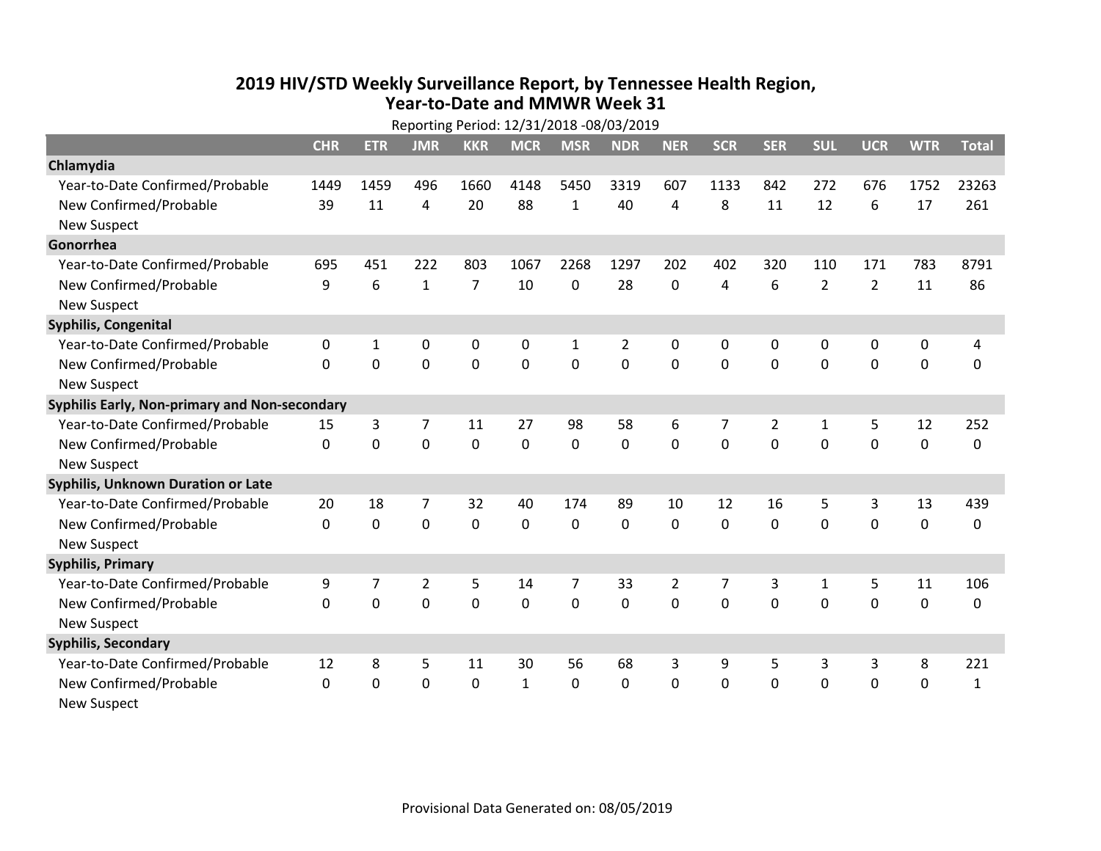## **2019 HIV /STD Weekly Surveillance Report, by Tennessee Health Region, Year‐to‐Date and MMWR Week 31** Reporting Period: 12/31/2018 ‐08/03/2019

|                                               | Reporting Period: 12/31/2018 -08/03/2019 |              |                |                |              |              |            |                |                |                |                |                |             |              |
|-----------------------------------------------|------------------------------------------|--------------|----------------|----------------|--------------|--------------|------------|----------------|----------------|----------------|----------------|----------------|-------------|--------------|
|                                               | <b>CHR</b>                               | <b>ETR</b>   | <b>JMR</b>     | <b>KKR</b>     | <b>MCR</b>   | <b>MSR</b>   | <b>NDR</b> | <b>NER</b>     | <b>SCR</b>     | <b>SER</b>     | <b>SUL</b>     | <b>UCR</b>     | <b>WTR</b>  | <b>Total</b> |
| Chlamydia                                     |                                          |              |                |                |              |              |            |                |                |                |                |                |             |              |
| Year-to-Date Confirmed/Probable               | 1449                                     | 1459         | 496            | 1660           | 4148         | 5450         | 3319       | 607            | 1133           | 842            | 272            | 676            | 1752        | 23263        |
| New Confirmed/Probable                        | 39                                       | 11           | 4              | 20             | 88           | $\mathbf{1}$ | 40         | 4              | 8              | 11             | 12             | 6              | 17          | 261          |
| <b>New Suspect</b>                            |                                          |              |                |                |              |              |            |                |                |                |                |                |             |              |
| Gonorrhea                                     |                                          |              |                |                |              |              |            |                |                |                |                |                |             |              |
| Year-to-Date Confirmed/Probable               | 695                                      | 451          | 222            | 803            | 1067         | 2268         | 1297       | 202            | 402            | 320            | 110            | 171            | 783         | 8791         |
| New Confirmed/Probable                        | 9                                        | 6            | $\mathbf{1}$   | $\overline{7}$ | 10           | $\mathbf 0$  | 28         | 0              | 4              | 6              | $\overline{2}$ | $\overline{2}$ | 11          | 86           |
| <b>New Suspect</b>                            |                                          |              |                |                |              |              |            |                |                |                |                |                |             |              |
| <b>Syphilis, Congenital</b>                   |                                          |              |                |                |              |              |            |                |                |                |                |                |             |              |
| Year-to-Date Confirmed/Probable               | 0                                        | $\mathbf{1}$ | 0              | 0              | $\mathbf 0$  | $\mathbf{1}$ | 2          | 0              | 0              | 0              | 0              | 0              | 0           | 4            |
| New Confirmed/Probable                        | $\Omega$                                 | 0            | $\mathbf 0$    | 0              | $\mathbf 0$  | $\mathbf 0$  | 0          | $\Omega$       | $\Omega$       | 0              | 0              | 0              | $\mathbf 0$ | 0            |
| <b>New Suspect</b>                            |                                          |              |                |                |              |              |            |                |                |                |                |                |             |              |
| Syphilis Early, Non-primary and Non-secondary |                                          |              |                |                |              |              |            |                |                |                |                |                |             |              |
| Year-to-Date Confirmed/Probable               | 15                                       | 3            | 7              | 11             | 27           | 98           | 58         | 6              | 7              | $\overline{2}$ | 1              | 5              | 12          | 252          |
| New Confirmed/Probable                        | 0                                        | 0            | $\overline{0}$ | $\overline{0}$ | $\mathbf 0$  | $\mathbf 0$  | 0          | $\Omega$       | $\Omega$       | $\Omega$       | $\mathbf 0$    | $\mathbf 0$    | $\mathbf 0$ | 0            |
| <b>New Suspect</b>                            |                                          |              |                |                |              |              |            |                |                |                |                |                |             |              |
| <b>Syphilis, Unknown Duration or Late</b>     |                                          |              |                |                |              |              |            |                |                |                |                |                |             |              |
| Year-to-Date Confirmed/Probable               | 20                                       | 18           | 7              | 32             | 40           | 174          | 89         | 10             | 12             | 16             | 5              | 3              | 13          | 439          |
| New Confirmed/Probable                        | $\mathbf 0$                              | $\mathbf 0$  | $\mathbf 0$    | 0              | $\mathbf 0$  | $\mathbf 0$  | $\Omega$   | $\Omega$       | $\Omega$       | $\Omega$       | $\mathbf 0$    | $\mathbf 0$    | $\mathbf 0$ | 0            |
| <b>New Suspect</b>                            |                                          |              |                |                |              |              |            |                |                |                |                |                |             |              |
| <b>Syphilis, Primary</b>                      |                                          |              |                |                |              |              |            |                |                |                |                |                |             |              |
| Year-to-Date Confirmed/Probable               | 9                                        | 7            | $\overline{2}$ | 5              | 14           | 7            | 33         | $\overline{2}$ | $\overline{7}$ | 3              | $\mathbf{1}$   | 5              | 11          | 106          |
| New Confirmed/Probable                        | $\Omega$                                 | 0            | 0              | $\overline{0}$ | $\mathbf 0$  | $\mathbf 0$  | 0          | $\Omega$       | $\Omega$       | $\Omega$       | $\Omega$       | $\Omega$       | $\mathbf 0$ | 0            |
| <b>New Suspect</b>                            |                                          |              |                |                |              |              |            |                |                |                |                |                |             |              |
| <b>Syphilis, Secondary</b>                    |                                          |              |                |                |              |              |            |                |                |                |                |                |             |              |
| Year-to-Date Confirmed/Probable               | 12                                       | 8            | 5              | 11             | 30           | 56           | 68         | 3              | 9              | 5              | 3              | 3              | 8           | 221          |
| New Confirmed/Probable                        | 0                                        | 0            | 0              | 0              | $\mathbf{1}$ | 0            | 0          | $\mathbf 0$    | $\Omega$       | 0              | 0              | $\mathbf 0$    | $\mathbf 0$ | $\mathbf{1}$ |
| <b>New Suspect</b>                            |                                          |              |                |                |              |              |            |                |                |                |                |                |             |              |